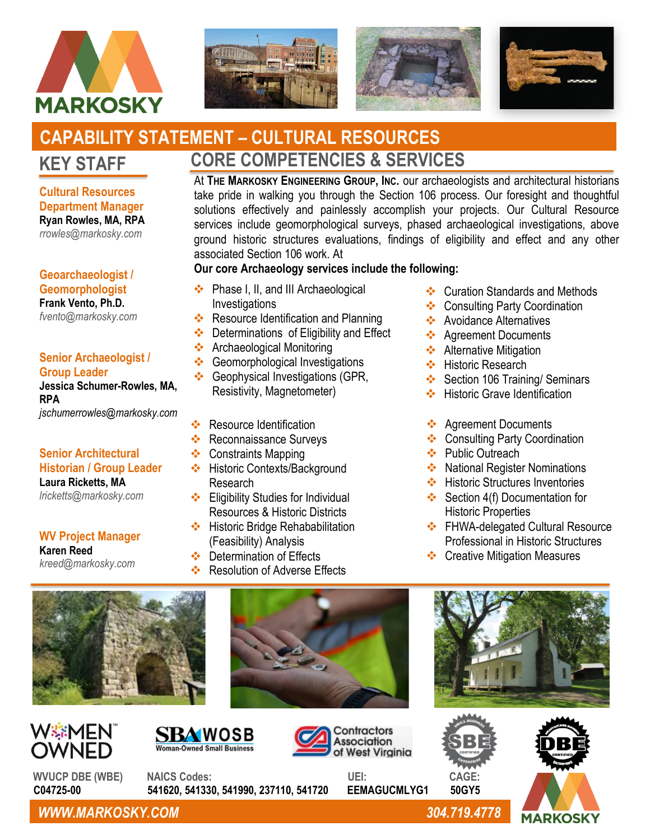







# **KEY STAFF CAPABILITY STATEMENT – CULTURAL RESOURCES**

**Cultural Resources Department Manager Ryan Rowles, MA, RPA** *[rrowles@markosky.com](mailto:rrowles@markosky.com)*

## **Geoarchaeologist / Geomorphologist**

**Frank Vento, Ph.D.** *[fvento@markosky.com](mailto:fvento@markosky.com)*

#### **Senior Archaeologist / Group Leader**

#### **Jessica Schumer-Rowles, MA, RPA** *jschumerrowles@markosky.com*

# **Senior Architectural**

#### **Historian / Group Leader Laura Ricketts, MA**

*[lricketts@markosky.com](mailto:lricketts@markosky.com)*

# **WV Project Manager Karen Reed**

*kreed@markosky.com*

# **CORE COMPETENCIES & SERVICES**

At **THE MARKOSKY ENGINEERING GROUP, INC.** our archaeologists and architectural historians take pride in walking you through the Section 106 process. Our foresight and thoughtful solutions effectively and painlessly accomplish your projects. Our Cultural Resource services include geomorphological surveys, phased archaeological investigations, above ground historic structures evaluations, findings of eligibility and effect and any other associated Section 106 work. At

# **Our core Archaeology services include the following:**

- ❖ Phase I, II, and III Archaeological Investigations
- ❖ Resource Identification and Planning
- ❖ Determinations of Eligibility and Effect
- ❖ Archaeological Monitoring
- ❖ Geomorphological Investigations
- **Our core Historic Structures services include the following:** ❖ Geophysical Investigations (GPR, Resistivity, Magnetometer)
- ❖ Resource Identification
- ❖ Reconnaissance Surveys
- ❖ Constraints Mapping
- ❖ Historic Contexts/Background Research
- ❖ Eligibility Studies for Individual Resources & Historic Districts
- ❖ Historic Bridge Rehababilitation (Feasibility) Analysis
- ❖ Determination of Effects
- ❖ Resolution of Adverse Effects
- ❖ Curation Standards and Methods
- ❖ Consulting Party Coordination
- ❖ Avoidance Alternatives
- ❖ Agreement Documents
- **❖** Alternative Mitigation
- ❖ Historic Research
- ❖ Section 106 Training/ Seminars
- ❖ Historic Grave Identification
- ❖ Agreement Documents
- ❖ Consulting Party Coordination
- ❖ Public Outreach
- ❖ National Register Nominations
- ❖ Historic Structures Inventories
- ❖ Section 4(f) Documentation for Historic Properties
- ❖ FHWA-delegated Cultural Resource Professional in Historic Structures
- ❖ Creative Mitigation Measures











WVUCP DBE (WBE) NAICS Codes: UEI: CAGE:<br>C04725-00 541620. 541330. 541990. 237110. 541720 EEMAGUCMLYG1 50GY5  **C04725-00 541620, 541330, 541990, 237110, 541720 EEMAGUCMLYG1 50GY5**



*WWW.MARKOSKY.COM 304.719.4778*